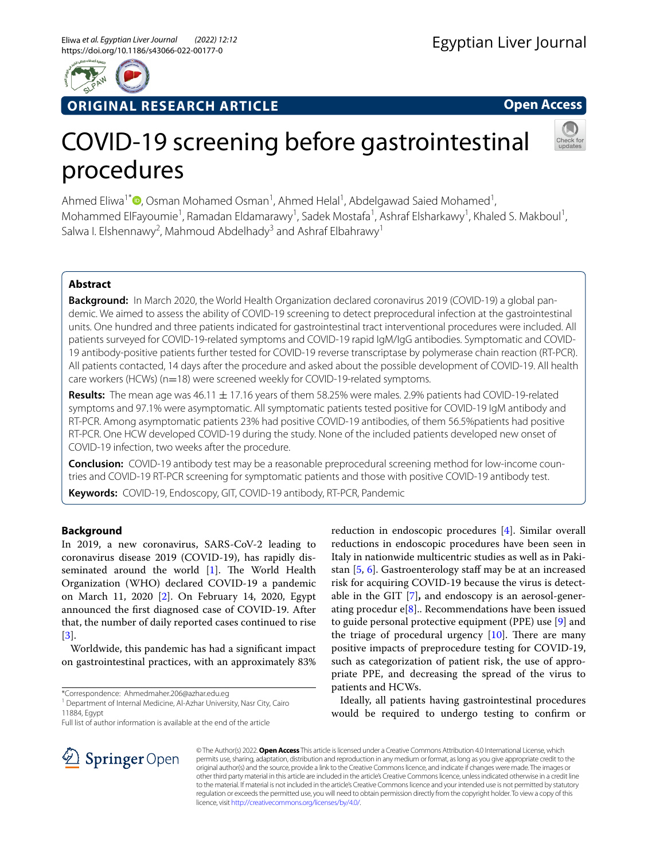

# **ORIGINAL RESEARCH ARTICLE**

**Open Access**

# COVID-19 screening before gastrointestinal procedures

Ahmed Eliwa<sup>1\*</sup><sup>®</sup>[,](http://orcid.org/0000-0003-0818-3086) Osman Mohamed Osman<sup>1</sup>, Ahmed Helal<sup>1</sup>, Abdelgawad Saied Mohamed<sup>1</sup>, Mohammed ElFayoumie<sup>1</sup>, Ramadan Eldamarawy<sup>1</sup>, Sadek Mostafa<sup>1</sup>, Ashraf Elsharkawy<sup>1</sup>, Khaled S. Makboul<sup>1</sup>, Salwa I. Elshennawy<sup>2</sup>, Mahmoud Abdelhady<sup>3</sup> and Ashraf Elbahrawy<sup>1</sup>

# **Abstract**

**Background:** In March 2020, the World Health Organization declared coronavirus 2019 (COVID-19) a global pandemic. We aimed to assess the ability of COVID-19 screening to detect preprocedural infection at the gastrointestinal units. One hundred and three patients indicated for gastrointestinal tract interventional procedures were included. All patients surveyed for COVID-19-related symptoms and COVID-19 rapid IgM/IgG antibodies. Symptomatic and COVID-19 antibody-positive patients further tested for COVID-19 reverse transcriptase by polymerase chain reaction (RT-PCR). All patients contacted, 14 days after the procedure and asked about the possible development of COVID-19. All health care workers (HCWs) (n=18) were screened weekly for COVID-19-related symptoms.

**Results:** The mean age was 46.11 ± 17.16 years of them 58.25% were males. 2.9% patients had COVID-19-related symptoms and 97.1% were asymptomatic. All symptomatic patients tested positive for COVID-19 IgM antibody and RT-PCR. Among asymptomatic patients 23% had positive COVID-19 antibodies, of them 56.5%patients had positive RT-PCR. One HCW developed COVID-19 during the study. None of the included patients developed new onset of COVID-19 infection, two weeks after the procedure.

**Conclusion:** COVID-19 antibody test may be a reasonable preprocedural screening method for low-income countries and COVID-19 RT-PCR screening for symptomatic patients and those with positive COVID-19 antibody test.

**Keywords:** COVID-19, Endoscopy, GIT, COVID-19 antibody, RT-PCR, Pandemic

# **Background**

In 2019, a new coronavirus, SARS-CoV-2 leading to coronavirus disease 2019 (COVID-19), has rapidly disseminated around the world  $[1]$  $[1]$ . The World Health Organization (WHO) declared COVID-19 a pandemic on March 11, 2020 [[2\]](#page-6-1). On February 14, 2020, Egypt announced the frst diagnosed case of COVID-19. After that, the number of daily reported cases continued to rise [[3\]](#page-6-2).

Worldwide, this pandemic has had a signifcant impact on gastrointestinal practices, with an approximately 83%

\*Correspondence: Ahmedmaher.206@azhar.edu.eg

<sup>1</sup> Department of Internal Medicine, Al-Azhar University, Nasr City, Cairo 11884, Egypt

Full list of author information is available at the end of the article

reduction in endoscopic procedures [[4](#page-6-3)]. Similar overall reductions in endoscopic procedures have been seen in Italy in nationwide multicentric studies as well as in Pakistan  $[5, 6]$  $[5, 6]$  $[5, 6]$  $[5, 6]$ . Gastroenterology staff may be at an increased risk for acquiring COVID-19 because the virus is detectable in the GIT [[7](#page-7-1)]**,** and endoscopy is an aerosol-generating procedur  $e[8]$  $e[8]$  $e[8]$ .. Recommendations have been issued to guide personal protective equipment (PPE) use [[9\]](#page-7-3) and the triage of procedural urgency  $[10]$  $[10]$  $[10]$ . There are many positive impacts of preprocedure testing for COVID-19, such as categorization of patient risk, the use of appropriate PPE, and decreasing the spread of the virus to patients and HCWs.

Ideally, all patients having gastrointestinal procedures would be required to undergo testing to confrm or



© The Author(s) 2022. **Open Access** This article is licensed under a Creative Commons Attribution 4.0 International License, which permits use, sharing, adaptation, distribution and reproduction in any medium or format, as long as you give appropriate credit to the original author(s) and the source, provide a link to the Creative Commons licence, and indicate if changes were made. The images or other third party material in this article are included in the article's Creative Commons licence, unless indicated otherwise in a credit line to the material. If material is not included in the article's Creative Commons licence and your intended use is not permitted by statutory regulation or exceeds the permitted use, you will need to obtain permission directly from the copyright holder. To view a copy of this licence, visit [http://creativecommons.org/licenses/by/4.0/.](http://creativecommons.org/licenses/by/4.0/)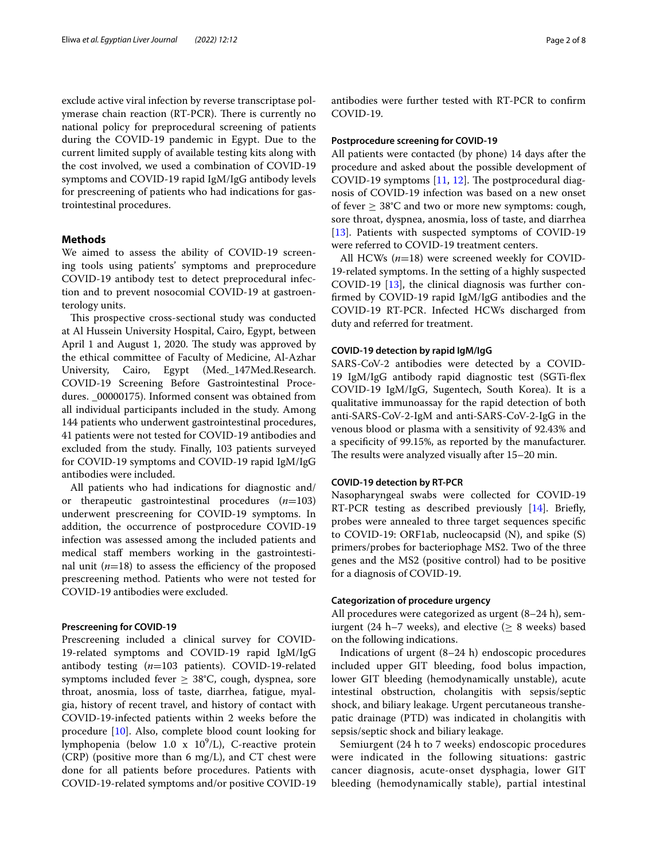exclude active viral infection by reverse transcriptase polymerase chain reaction (RT-PCR). There is currently no national policy for preprocedural screening of patients during the COVID-19 pandemic in Egypt. Due to the current limited supply of available testing kits along with the cost involved, we used a combination of COVID-19 symptoms and COVID-19 rapid IgM/IgG antibody levels for prescreening of patients who had indications for gastrointestinal procedures.

## **Methods**

We aimed to assess the ability of COVID-19 screening tools using patients' symptoms and preprocedure COVID-19 antibody test to detect preprocedural infection and to prevent nosocomial COVID-19 at gastroenterology units.

This prospective cross-sectional study was conducted at Al Hussein University Hospital, Cairo, Egypt, between April 1 and August 1, 2020. The study was approved by the ethical committee of Faculty of Medicine, Al-Azhar University, Cairo, Egypt (Med.\_147Med.Research. COVID-19 Screening Before Gastrointestinal Procedures. \_00000175). Informed consent was obtained from all individual participants included in the study. Among 144 patients who underwent gastrointestinal procedures, 41 patients were not tested for COVID-19 antibodies and excluded from the study. Finally, 103 patients surveyed for COVID-19 symptoms and COVID-19 rapid IgM/IgG antibodies were included.

All patients who had indications for diagnostic and/ or therapeutic gastrointestinal procedures (*n*=103) underwent prescreening for COVID-19 symptoms. In addition, the occurrence of postprocedure COVID-19 infection was assessed among the included patients and medical staf members working in the gastrointestinal unit  $(n=18)$  to assess the efficiency of the proposed prescreening method. Patients who were not tested for COVID-19 antibodies were excluded.

## **Prescreening for COVID‑19**

Prescreening included a clinical survey for COVID-19-related symptoms and COVID-19 rapid IgM/IgG antibody testing (*n*=103 patients). COVID-19-related symptoms included fever  $\geq 38^{\circ}$ C, cough, dyspnea, sore throat, anosmia, loss of taste, diarrhea, fatigue, myalgia, history of recent travel, and history of contact with COVID-19-infected patients within 2 weeks before the procedure [\[10](#page-7-4)]. Also, complete blood count looking for lymphopenia (below 1.0 x 10<sup>9</sup>/L), C-reactive protein (CRP) (positive more than 6 mg/L), and CT chest were done for all patients before procedures. Patients with COVID-19-related symptoms and/or positive COVID-19

antibodies were further tested with RT-PCR to confrm COVID-19.

## **Postprocedure screening for COVID‑19**

All patients were contacted (by phone) 14 days after the procedure and asked about the possible development of COVID-19 symptoms  $[11, 12]$  $[11, 12]$  $[11, 12]$  $[11, 12]$ . The postprocedural diagnosis of COVID-19 infection was based on a new onset of fever  $\geq 38^{\circ}$ C and two or more new symptoms: cough, sore throat, dyspnea, anosmia, loss of taste, and diarrhea [[13\]](#page-7-7). Patients with suspected symptoms of COVID-19 were referred to COVID-19 treatment centers.

All HCWs (*n*=18) were screened weekly for COVID-19-related symptoms. In the setting of a highly suspected COVID-19 [\[13\]](#page-7-7), the clinical diagnosis was further confrmed by COVID-19 rapid IgM/IgG antibodies and the COVID-19 RT-PCR. Infected HCWs discharged from duty and referred for treatment.

### **COVID‑19 detection by rapid IgM/IgG**

SARS-CoV-2 antibodies were detected by a COVID-19 IgM/IgG antibody rapid diagnostic test (SGTi-fex COVID-19 IgM/IgG, Sugentech, South Korea). It is a qualitative immunoassay for the rapid detection of both anti-SARS-CoV-2-IgM and anti-SARS-CoV-2-IgG in the venous blood or plasma with a sensitivity of 92.43% and a specifcity of 99.15%, as reported by the manufacturer. The results were analyzed visually after  $15-20$  min.

### **COVID‑19 detection by RT‑PCR**

Nasopharyngeal swabs were collected for COVID-19 RT-PCR testing as described previously [\[14\]](#page-7-8). Briefy, probes were annealed to three target sequences specifc to COVID-19: ORF1ab, nucleocapsid (N), and spike (S) primers/probes for bacteriophage MS2. Two of the three genes and the MS2 (positive control) had to be positive for a diagnosis of COVID-19.

#### **Categorization of procedure urgency**

All procedures were categorized as urgent (8–24 h), semiurgent (24 h–7 weeks), and elective ( $\geq$  8 weeks) based on the following indications.

Indications of urgent (8–24 h) endoscopic procedures included upper GIT bleeding, food bolus impaction, lower GIT bleeding (hemodynamically unstable), acute intestinal obstruction, cholangitis with sepsis/septic shock, and biliary leakage. Urgent percutaneous transhepatic drainage (PTD) was indicated in cholangitis with sepsis/septic shock and biliary leakage.

Semiurgent (24 h to 7 weeks) endoscopic procedures were indicated in the following situations: gastric cancer diagnosis, acute-onset dysphagia, lower GIT bleeding (hemodynamically stable), partial intestinal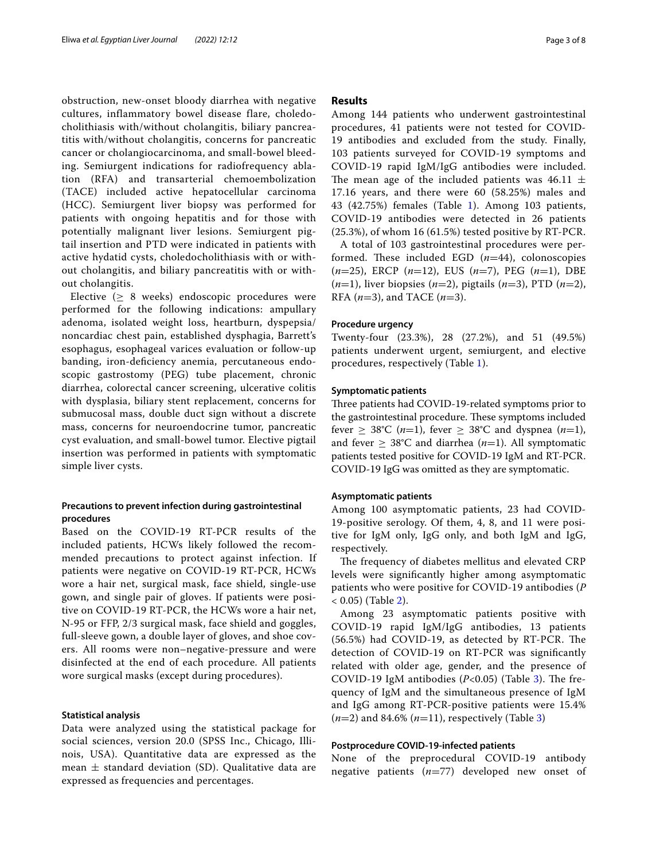obstruction, new-onset bloody diarrhea with negative cultures, inflammatory bowel disease flare, choledocholithiasis with/without cholangitis, biliary pancreatitis with/without cholangitis, concerns for pancreatic cancer or cholangiocarcinoma, and small-bowel bleeding. Semiurgent indications for radiofrequency ablation (RFA) and transarterial chemoembolization (TACE) included active hepatocellular carcinoma (HCC). Semiurgent liver biopsy was performed for patients with ongoing hepatitis and for those with potentially malignant liver lesions. Semiurgent pigtail insertion and PTD were indicated in patients with active hydatid cysts, choledocholithiasis with or without cholangitis, and biliary pancreatitis with or without cholangitis.

Elective  $( \geq 8$  weeks) endoscopic procedures were performed for the following indications: ampullary adenoma, isolated weight loss, heartburn, dyspepsia/ noncardiac chest pain, established dysphagia, Barrett's esophagus, esophageal varices evaluation or follow-up banding, iron-defciency anemia, percutaneous endoscopic gastrostomy (PEG) tube placement, chronic diarrhea, colorectal cancer screening, ulcerative colitis with dysplasia, biliary stent replacement, concerns for submucosal mass, double duct sign without a discrete mass, concerns for neuroendocrine tumor, pancreatic cyst evaluation, and small-bowel tumor. Elective pigtail insertion was performed in patients with symptomatic simple liver cysts.

## **Precautions to prevent infection during gastrointestinal procedures**

Based on the COVID-19 RT-PCR results of the included patients, HCWs likely followed the recommended precautions to protect against infection. If patients were negative on COVID-19 RT-PCR, HCWs wore a hair net, surgical mask, face shield, single-use gown, and single pair of gloves. If patients were positive on COVID-19 RT-PCR, the HCWs wore a hair net, N-95 or FFP, 2/3 surgical mask, face shield and goggles, full-sleeve gown, a double layer of gloves, and shoe covers. All rooms were non–negative-pressure and were disinfected at the end of each procedure. All patients wore surgical masks (except during procedures).

## **Statistical analysis**

Data were analyzed using the statistical package for social sciences, version 20.0 (SPSS Inc., Chicago, Illinois, USA). Quantitative data are expressed as the mean  $\pm$  standard deviation (SD). Qualitative data are expressed as frequencies and percentages.

## **Results**

Among 144 patients who underwent gastrointestinal procedures, 41 patients were not tested for COVID-19 antibodies and excluded from the study. Finally, 103 patients surveyed for COVID-19 symptoms and COVID-19 rapid IgM/IgG antibodies were included. The mean age of the included patients was 46.11  $\pm$ 17.16 years, and there were 60 (58.25%) males and 43 (42.75%) females (Table [1\)](#page-3-0). Among 103 patients, COVID-19 antibodies were detected in 26 patients (25.3%), of whom 16 (61.5%) tested positive by RT-PCR.

A total of 103 gastrointestinal procedures were performed. These included EGD  $(n=44)$ , colonoscopies (*n*=25), ERCP (*n*=12), EUS (*n*=7), PEG (*n*=1), DBE (*n*=1), liver biopsies (*n*=2), pigtails (*n*=3), PTD (*n*=2), RFA (*n*=3), and TACE (*n*=3).

## **Procedure urgency**

Twenty-four (23.3%), 28 (27.2%), and 51 (49.5%) patients underwent urgent, semiurgent, and elective procedures, respectively (Table [1](#page-3-0)).

## **Symptomatic patients**

Three patients had COVID-19-related symptoms prior to the gastrointestinal procedure. These symptoms included fever  $\geq$  38°C (*n*=1), fever  $\geq$  38°C and dyspnea (*n*=1), and fever  $\geq 38^{\circ}$ C and diarrhea (*n*=1). All symptomatic patients tested positive for COVID-19 IgM and RT-PCR. COVID-19 IgG was omitted as they are symptomatic.

## **Asymptomatic patients**

Among 100 asymptomatic patients, 23 had COVID-19-positive serology. Of them, 4, 8, and 11 were positive for IgM only, IgG only, and both IgM and IgG, respectively.

The frequency of diabetes mellitus and elevated CRP levels were signifcantly higher among asymptomatic patients who were positive for COVID-19 antibodies (*P*  $(1, 0.05)$  (Table [2\)](#page-4-0).

Among 23 asymptomatic patients positive with COVID-19 rapid IgM/IgG antibodies, 13 patients (56.5%) had COVID-19, as detected by RT-PCR. The detection of COVID-19 on RT-PCR was signifcantly related with older age, gender, and the presence of COVID-19 IgM antibodies  $(P<0.05)$  (Table [3\)](#page-4-1). The frequency of IgM and the simultaneous presence of IgM and IgG among RT-PCR-positive patients were 15.4% (*n*=2) and 84.6% (*n*=11), respectively (Table [3](#page-4-1))

## **Postprocedure COVID‑19‑infected patients**

None of the preprocedural COVID-19 antibody negative patients (*n*=77) developed new onset of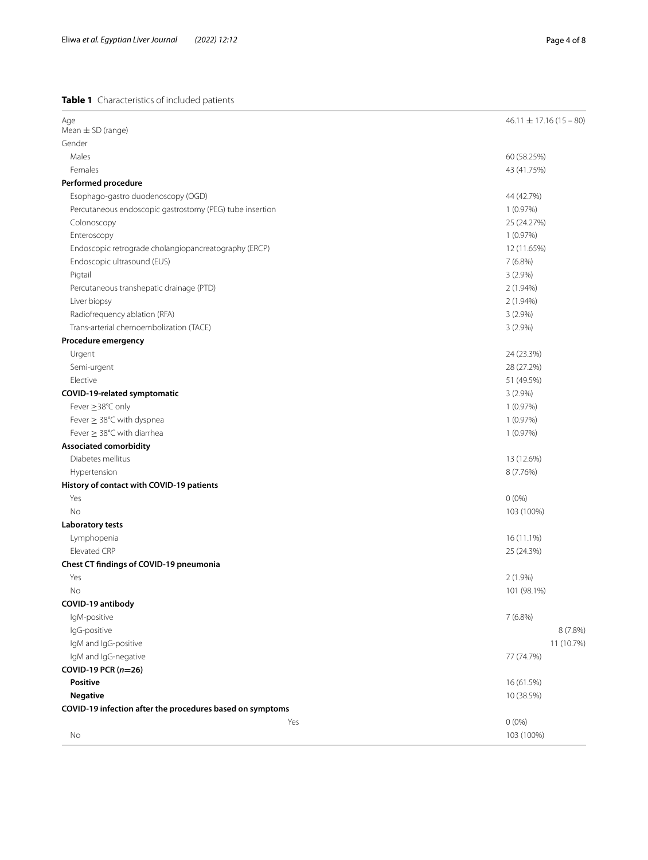# <span id="page-3-0"></span>**Table 1** Characteristics of included patients

| Age                                                       | $46.11 \pm 17.16(15 - 80)$ |
|-----------------------------------------------------------|----------------------------|
| Mean $\pm$ SD (range)                                     |                            |
| Gender                                                    |                            |
| Males                                                     | 60 (58.25%)                |
| Females                                                   | 43 (41.75%)                |
| <b>Performed procedure</b>                                |                            |
| Esophago-gastro duodenoscopy (OGD)                        | 44 (42.7%)                 |
| Percutaneous endoscopic gastrostomy (PEG) tube insertion  | 1(0.97%)                   |
| Colonoscopy                                               | 25 (24.27%)                |
| Enteroscopy                                               | 1(0.97%)                   |
| Endoscopic retrograde cholangiopancreatography (ERCP)     | 12 (11.65%)                |
| Endoscopic ultrasound (EUS)                               | 7(6.8%)                    |
| Pigtail                                                   | $3(2.9\%)$                 |
| Percutaneous transhepatic drainage (PTD)                  | 2 (1.94%)                  |
| Liver biopsy                                              | 2 (1.94%)                  |
| Radiofrequency ablation (RFA)                             | $3(2.9\%)$                 |
| Trans-arterial chemoembolization (TACE)                   | $3(2.9\%)$                 |
| Procedure emergency                                       |                            |
| Urgent                                                    | 24 (23.3%)                 |
| Semi-urgent                                               | 28 (27.2%)                 |
| Elective                                                  | 51 (49.5%)                 |
| COVID-19-related symptomatic                              | $3(2.9\%)$                 |
| Fever ≥38°C only                                          | 1(0.97%)                   |
| Fever $\geq$ 38°C with dyspnea                            | 1(0.97%)                   |
| Fever $\geq$ 38°C with diarrhea                           | 1(0.97%)                   |
| <b>Associated comorbidity</b>                             |                            |
| Diabetes mellitus                                         | 13 (12.6%)                 |
| Hypertension                                              | 8 (7.76%)                  |
| History of contact with COVID-19 patients                 |                            |
| Yes                                                       | $0(0\%)$                   |
| No                                                        | 103 (100%)                 |
| <b>Laboratory tests</b>                                   |                            |
| Lymphopenia                                               | 16 (11.1%)                 |
| Elevated CRP                                              | 25 (24.3%)                 |
| Chest CT findings of COVID-19 pneumonia                   |                            |
| Yes                                                       | $2(1.9\%)$                 |
| No                                                        | 101 (98.1%)                |
| COVID-19 antibody                                         |                            |
| IgM-positive                                              | 7 (6.8%)                   |
| IgG-positive                                              | 8 (7.8%)                   |
| IgM and IgG-positive                                      | 11 (10.7%)                 |
| IgM and IgG-negative                                      | 77 (74.7%)                 |
| COVID-19 PCR $(n=26)$                                     |                            |
| Positive                                                  | 16 (61.5%)                 |
| <b>Negative</b>                                           | 10 (38.5%)                 |
| COVID-19 infection after the procedures based on symptoms |                            |
| Yes                                                       | $0(0\%)$                   |
| No                                                        | 103 (100%)                 |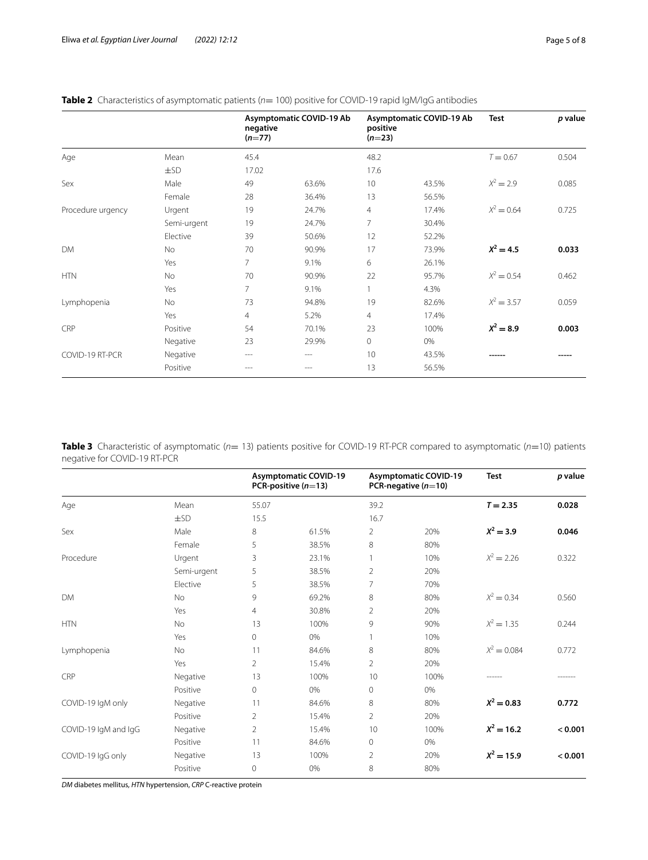|                   |             | negative<br>$(n=77)$ | Asymptomatic COVID-19 Ab | positive<br>$(n=23)$ | Asymptomatic COVID-19 Ab | <b>Test</b>  | p value |
|-------------------|-------------|----------------------|--------------------------|----------------------|--------------------------|--------------|---------|
| Age               | Mean        | 45.4                 |                          | 48.2                 |                          | $T = 0.67$   | 0.504   |
|                   | $\pm$ SD    | 17.02                |                          | 17.6                 |                          |              |         |
| Sex               | Male        | 49                   | 63.6%                    | 10                   | 43.5%                    | $X^2 = 2.9$  | 0.085   |
|                   | Female      | 28                   | 36.4%                    | 13                   | 56.5%                    |              |         |
| Procedure urgency | Urgent      | 19                   | 24.7%                    | $\overline{4}$       | 17.4%                    | $X^2 = 0.64$ | 0.725   |
|                   | Semi-urgent | 19                   | 24.7%                    | 7                    | 30.4%                    |              |         |
|                   | Elective    | 39                   | 50.6%                    | 12                   | 52.2%                    |              |         |
| <b>DM</b>         | No          | 70                   | 90.9%                    | 17                   | 73.9%                    | $X^2 = 4.5$  | 0.033   |
|                   | Yes         | 7                    | 9.1%                     | 6                    | 26.1%                    |              |         |
| <b>HTN</b>        | <b>No</b>   | 70                   | 90.9%                    | 22                   | 95.7%                    | $X^2 = 0.54$ | 0.462   |
|                   | Yes         | 7                    | 9.1%                     |                      | 4.3%                     |              |         |
| Lymphopenia       | No          | 73                   | 94.8%                    | 19                   | 82.6%                    | $X^2 = 3.57$ | 0.059   |
|                   | Yes         | $\overline{4}$       | 5.2%                     | $\overline{4}$       | 17.4%                    |              |         |
| CRP               | Positive    | 54                   | 70.1%                    | 23                   | 100%                     | $X^2 = 8.9$  | 0.003   |
|                   | Negative    | 23                   | 29.9%                    | $\circ$              | 0%                       |              |         |
| COVID-19 RT-PCR   | Negative    | ---                  | $- - -$                  | 10                   | 43.5%                    |              |         |
|                   | Positive    | ---                  | $- - -$                  | 13                   | 56.5%                    |              |         |

## <span id="page-4-0"></span>**Table 2** Characteristics of asymptomatic patients ( $n=100$ ) positive for COVID-19 rapid IgM/IgG antibodies

<span id="page-4-1"></span>**Table 3** Characteristic of asymptomatic (*n*= 13) patients positive for COVID-19 RT-PCR compared to asymptomatic (*n*=10) patients negative for COVID-19 RT-PCR

| 55.07<br>Age<br>Mean<br>39.2<br>$\pm$ SD<br>15.5<br>16.7<br>Sex<br>Male<br>8<br>61.5%<br>$\overline{2}$<br>20%<br>5<br>8<br>Female<br>38.5%<br>80% | <b>Test</b><br>$T = 2.35$ | p value |
|----------------------------------------------------------------------------------------------------------------------------------------------------|---------------------------|---------|
|                                                                                                                                                    |                           | 0.028   |
|                                                                                                                                                    |                           |         |
|                                                                                                                                                    | $X^2 = 3.9$               | 0.046   |
|                                                                                                                                                    |                           |         |
| Procedure<br>Urgent<br>3<br>23.1%<br>10%<br>1                                                                                                      | $X^2 = 2.26$              | 0.322   |
| 5<br>$\overline{2}$<br>20%<br>Semi-urgent<br>38.5%                                                                                                 |                           |         |
| 5<br>7<br>Elective<br>70%<br>38.5%                                                                                                                 |                           |         |
| <b>DM</b><br>9<br>8<br>80%<br><b>No</b><br>69.2%                                                                                                   | $X^2 = 0.34$              | 0.560   |
| $\overline{2}$<br>Yes<br>$\overline{4}$<br>30.8%<br>20%                                                                                            |                           |         |
| <b>HTN</b><br><b>No</b><br>13<br>100%<br>9<br>90%                                                                                                  | $X^2 = 1.35$              | 0.244   |
| Yes<br>$\Omega$<br>0%<br>10%                                                                                                                       |                           |         |
| 8<br>11<br>80%<br>Lymphopenia<br>No<br>84.6%                                                                                                       | $X^2 = 0.084$             | 0.772   |
| $\mathfrak{D}$<br>$\overline{2}$<br>20%<br>Yes<br>15.4%                                                                                            |                           |         |
| CRP<br>13<br>100%<br>10<br>100%<br>Negative                                                                                                        |                           |         |
| Positive<br>0%<br>0<br>$\circ$<br>0%                                                                                                               |                           |         |
| COVID-19 IgM only<br>8<br>80%<br>84.6%<br>Negative<br>11                                                                                           | $X^2 = 0.83$              | 0.772   |
| $\overline{2}$<br>$\overline{2}$<br>Positive<br>15.4%<br>20%                                                                                       |                           |         |
| COVID-19 IgM and IgG<br>$\overline{2}$<br>10<br>100%<br>Negative<br>15.4%                                                                          | $X^2 = 16.2$              | < 0.001 |
| Positive<br>0<br>0%<br>11<br>84.6%                                                                                                                 |                           |         |
| COVID-19 IgG only<br>13<br>100%<br>$\overline{2}$<br>20%<br>Negative                                                                               | $X^2 = 15.9$              | < 0.001 |
| 8<br>Positive<br>$\Omega$<br>0%<br>80%                                                                                                             |                           |         |

*DM* diabetes mellitus, *HTN* hypertension, *CRP* C-reactive protein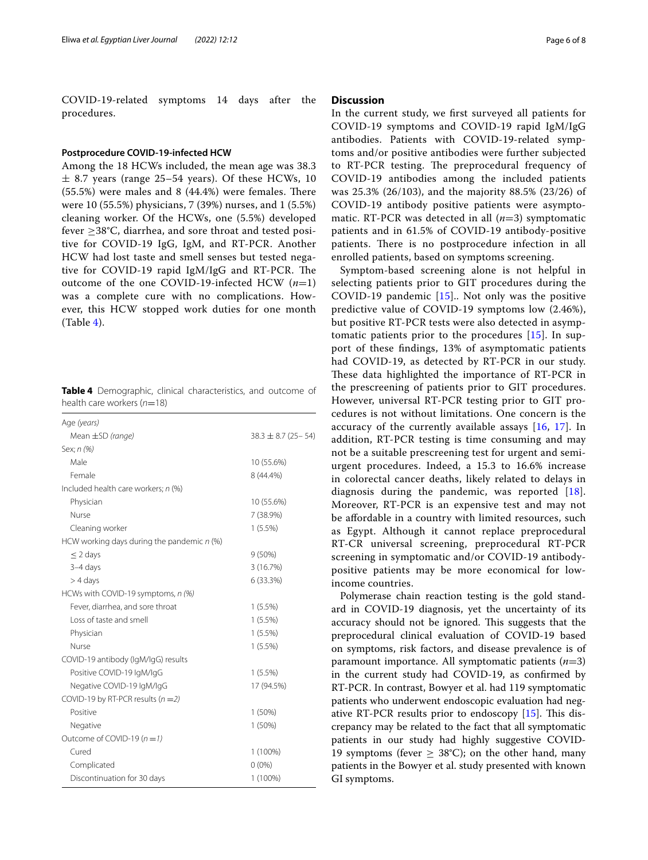COVID-19-related symptoms 14 days after the procedures.

## **Postprocedure COVID‑19‑infected HCW**

Among the 18 HCWs included, the mean age was 38.3  $\pm$  8.7 years (range 25–54 years). Of these HCWs, 10  $(55.5%)$  were males and 8  $(44.4%)$  were females. There were 10 (55.5%) physicians, 7 (39%) nurses, and 1 (5.5%) cleaning worker. Of the HCWs, one (5.5%) developed fever ≥38°C, diarrhea, and sore throat and tested positive for COVID-19 IgG, IgM, and RT-PCR. Another HCW had lost taste and smell senses but tested negative for COVID-19 rapid IgM/IgG and RT-PCR. The outcome of the one COVID-19-infected HCW (*n*=1) was a complete cure with no complications. However, this HCW stopped work duties for one month  $(Table 4).$  $(Table 4).$  $(Table 4).$ 

<span id="page-5-0"></span>**Table 4** Demographic, clinical characteristics, and outcome of health care workers (*n*=18)

| Age (years)                                  |                          |
|----------------------------------------------|--------------------------|
| Mean $\pm$ SD (range)                        | $38.3 \pm 8.7$ (25 - 54) |
| Sex; n (%)                                   |                          |
| Male                                         | 10 (55.6%)               |
| Female                                       | 8 (44.4%)                |
| Included health care workers; n (%)          |                          |
| Physician                                    | 10 (55.6%)               |
| Nurse                                        | 7 (38.9%)                |
| Cleaning worker                              | 1(5.5%)                  |
| HCW working days during the pandemic $n$ (%) |                          |
| $\leq$ 2 days                                | $9(50\%)$                |
| $3-4$ days                                   | 3 (16.7%)                |
| $>$ 4 days                                   | 6 (33.3%)                |
| HCWs with COVID-19 symptoms, n (%)           |                          |
| Fever, diarrhea, and sore throat             | $1(5.5\%)$               |
| Loss of taste and smell                      | 1(5.5%)                  |
| Physician                                    | $1(5.5\%)$               |
| Nurse                                        | $1(5.5\%)$               |
| COVID-19 antibody (IgM/IgG) results          |                          |
| Positive COVID-19 IgM/IgG                    | 1(5.5%)                  |
| Negative COVID-19 IgM/IgG                    | 17 (94.5%)               |
| COVID-19 by RT-PCR results $(n=2)$           |                          |
| Positive                                     | 1(50%)                   |
| Negative                                     | 1(50%)                   |
| Outcome of COVID-19 $(n = 1)$                |                          |
| Cured                                        | 1 (100%)                 |
| Complicated                                  | $0(0\%)$                 |
| Discontinuation for 30 days                  | 1 (100%)                 |

## **Discussion**

In the current study, we frst surveyed all patients for COVID-19 symptoms and COVID-19 rapid IgM/IgG antibodies. Patients with COVID-19-related symptoms and/or positive antibodies were further subjected to RT-PCR testing. The preprocedural frequency of COVID-19 antibodies among the included patients was 25.3% (26/103), and the majority 88.5% (23/26) of COVID-19 antibody positive patients were asymptomatic. RT-PCR was detected in all (*n*=3) symptomatic patients and in 61.5% of COVID-19 antibody-positive patients. There is no postprocedure infection in all enrolled patients, based on symptoms screening.

Symptom-based screening alone is not helpful in selecting patients prior to GIT procedures during the COVID-19 pandemic [[15\]](#page-7-9).. Not only was the positive predictive value of COVID-19 symptoms low (2.46%), but positive RT-PCR tests were also detected in asymptomatic patients prior to the procedures [[15\]](#page-7-9). In support of these fndings, 13% of asymptomatic patients had COVID-19, as detected by RT-PCR in our study. These data highlighted the importance of RT-PCR in the prescreening of patients prior to GIT procedures. However, universal RT-PCR testing prior to GIT procedures is not without limitations. One concern is the accuracy of the currently available assays [[16](#page-7-10), [17\]](#page-7-11). In addition, RT-PCR testing is time consuming and may not be a suitable prescreening test for urgent and semiurgent procedures. Indeed, a 15.3 to 16.6% increase in colorectal cancer deaths, likely related to delays in diagnosis during the pandemic, was reported [[18\]](#page-7-12). Moreover, RT-PCR is an expensive test and may not be afordable in a country with limited resources, such as Egypt. Although it cannot replace preprocedural RT-CR universal screening, preprocedural RT-PCR screening in symptomatic and/or COVID-19 antibodypositive patients may be more economical for lowincome countries.

Polymerase chain reaction testing is the gold standard in COVID-19 diagnosis, yet the uncertainty of its accuracy should not be ignored. This suggests that the preprocedural clinical evaluation of COVID-19 based on symptoms, risk factors, and disease prevalence is of paramount importance. All symptomatic patients (*n*=3) in the current study had COVID-19, as confrmed by RT-PCR. In contrast, Bowyer et al. had 119 symptomatic patients who underwent endoscopic evaluation had negative RT-PCR results prior to endoscopy  $[15]$ . This discrepancy may be related to the fact that all symptomatic patients in our study had highly suggestive COVID-19 symptoms (fever  $\geq 38^{\circ}$ C); on the other hand, many patients in the Bowyer et al. study presented with known GI symptoms.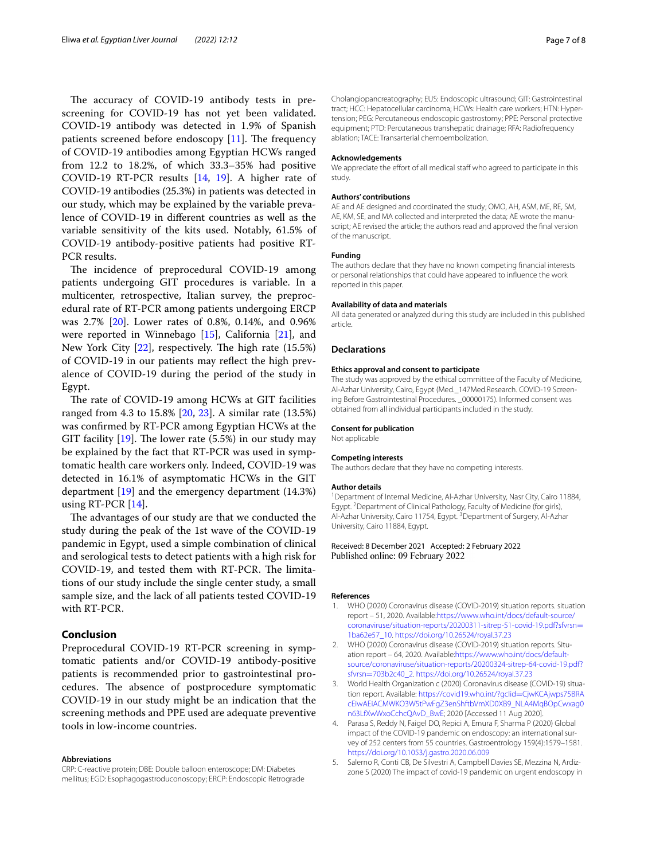The accuracy of COVID-19 antibody tests in prescreening for COVID-19 has not yet been validated. COVID-19 antibody was detected in 1.9% of Spanish patients screened before endoscopy  $[11]$ . The frequency of COVID-19 antibodies among Egyptian HCWs ranged from 12.2 to 18.2%, of which 33.3–35% had positive COVID-19 RT-PCR results [\[14](#page-7-8), [19](#page-7-13)]. A higher rate of COVID-19 antibodies (25.3%) in patients was detected in our study, which may be explained by the variable prevalence of COVID-19 in diferent countries as well as the variable sensitivity of the kits used. Notably, 61.5% of COVID-19 antibody-positive patients had positive RT-PCR results.

The incidence of preprocedural COVID-19 among patients undergoing GIT procedures is variable. In a multicenter, retrospective, Italian survey, the preprocedural rate of RT-PCR among patients undergoing ERCP was 2.7% [\[20](#page-7-14)]. Lower rates of 0.8%, 0.14%, and 0.96% were reported in Winnebago [[15](#page-7-9)], California [[21\]](#page-7-15), and New York City  $[22]$  $[22]$  $[22]$ , respectively. The high rate  $(15.5%)$ of COVID-19 in our patients may refect the high prevalence of COVID-19 during the period of the study in Egypt.

The rate of COVID-19 among HCWs at GIT facilities ranged from 4.3 to 15.8% [\[20](#page-7-14), [23](#page-7-17)]. A similar rate (13.5%) was confrmed by RT-PCR among Egyptian HCWs at the GIT facility  $[19]$  $[19]$  $[19]$ . The lower rate (5.5%) in our study may be explained by the fact that RT-PCR was used in symptomatic health care workers only. Indeed, COVID-19 was detected in 16.1% of asymptomatic HCWs in the GIT department [[19\]](#page-7-13) and the emergency department (14.3%) using RT-PCR [[14](#page-7-8)].

The advantages of our study are that we conducted the study during the peak of the 1st wave of the COVID-19 pandemic in Egypt, used a simple combination of clinical and serological tests to detect patients with a high risk for COVID-19, and tested them with RT-PCR. The limitations of our study include the single center study, a small sample size, and the lack of all patients tested COVID-19 with RT-PCR.

## **Conclusion**

Preprocedural COVID-19 RT-PCR screening in symptomatic patients and/or COVID-19 antibody-positive patients is recommended prior to gastrointestinal procedures. The absence of postprocedure symptomatic COVID-19 in our study might be an indication that the screening methods and PPE used are adequate preventive tools in low-income countries.

#### **Abbreviations**

CRP: C-reactive protein; DBE: Double balloon enteroscope; DM: Diabetes mellitus; EGD: Esophagogastroduconoscopy; ERCP: Endoscopic Retrograde Cholangiopancreatography; EUS: Endoscopic ultrasound; GIT: Gastrointestinal tract; HCC: Hepatocellular carcinoma; HCWs: Health care workers; HTN: Hypertension; PEG: Percutaneous endoscopic gastrostomy; PPE: Personal protective equipment; PTD: Percutaneous transhepatic drainage; RFA: Radiofrequency ablation; TACE: Transarterial chemoembolization.

#### **Acknowledgements**

We appreciate the effort of all medical staff who agreed to participate in this study.

#### **Authors' contributions**

AE and AE designed and coordinated the study; OMO, AH, ASM, ME, RE, SM, AE, KM, SE, and MA collected and interpreted the data; AE wrote the manuscript; AE revised the article; the authors read and approved the fnal version of the manuscript.

#### **Funding**

The authors declare that they have no known competing fnancial interests or personal relationships that could have appeared to infuence the work reported in this paper.

#### **Availability of data and materials**

All data generated or analyzed during this study are included in this published article.

#### **Declarations**

#### **Ethics approval and consent to participate**

The study was approved by the ethical committee of the Faculty of Medicine, Al-Azhar University, Cairo, Egypt (Med.\_147Med.Research. COVID-19 Screening Before Gastrointestinal Procedures. 00000175). Informed consent was obtained from all individual participants included in the study.

#### **Consent for publication**

Not applicable

#### **Competing interests**

The authors declare that they have no competing interests.

#### **Author details**

<sup>1</sup> Department of Internal Medicine, Al-Azhar University, Nasr City, Cairo 11884, Egypt. <sup>2</sup> Department of Clinical Pathology, Faculty of Medicine (for girls), Al-Azhar University, Cairo 11754, Egypt.<sup>3</sup> Department of Surgery, Al-Azhar University, Cairo 11884, Egypt.

### Received: 8 December 2021 Accepted: 2 February 2022 Published online: 09 February 2022

#### **References**

- <span id="page-6-0"></span>WHO (2020) Coronavirus disease (COVID-2019) situation reports. situation report – 51, 2020. Available:[https://www.who.int/docs/default-source/](https://www.who.int/docs/default-source/coronaviruse/situation-reports/20200311-sitrep-51-covid-19.pdf?sfvrsn=1ba62e57_10) [coronaviruse/situation-reports/20200311-sitrep-51-covid-19.pdf?sfvrsn](https://www.who.int/docs/default-source/coronaviruse/situation-reports/20200311-sitrep-51-covid-19.pdf?sfvrsn=1ba62e57_10)= [1ba62e57\\_10](https://www.who.int/docs/default-source/coronaviruse/situation-reports/20200311-sitrep-51-covid-19.pdf?sfvrsn=1ba62e57_10).<https://doi.org/10.26524/royal.37.23>
- <span id="page-6-1"></span>2. WHO (2020) Coronavirus disease (COVID-2019) situation reports. Situation report – 64, 2020. Available[:https://www.who.int/docs/default](https://www.who.int/docs/default-source/coronaviruse/situation-reports/20200324-sitrep-64-covid-19.pdf?sfvrsn=703b2c40_2)[source/coronaviruse/situation-reports/20200324-sitrep-64-covid-19.pdf?](https://www.who.int/docs/default-source/coronaviruse/situation-reports/20200324-sitrep-64-covid-19.pdf?sfvrsn=703b2c40_2) sfvrsn=[703b2c40\\_2.](https://www.who.int/docs/default-source/coronaviruse/situation-reports/20200324-sitrep-64-covid-19.pdf?sfvrsn=703b2c40_2) <https://doi.org/10.26524/royal.37.23>
- <span id="page-6-2"></span>3. World Health Organization c (2020) Coronavirus disease (COVID-19) situation report. Available: [https://covid19.who.int/?gclid](https://covid19.who.int/?gclid=CjwKCAjwps75BRAcEiwAEiACMWKO3W5tPwFgZ3enShftbVmXD0XB9_NLA4MqBOpCwxag0n63LfXwWxoCchcQAvD_BwE)=CjwKCAjwps75BRA [cEiwAEiACMWKO3W5tPwFgZ3enShftbVmXD0XB9\\_NLA4MqBOpCwxag0](https://covid19.who.int/?gclid=CjwKCAjwps75BRAcEiwAEiACMWKO3W5tPwFgZ3enShftbVmXD0XB9_NLA4MqBOpCwxag0n63LfXwWxoCchcQAvD_BwE) [n63LfXwWxoCchcQAvD\\_BwE](https://covid19.who.int/?gclid=CjwKCAjwps75BRAcEiwAEiACMWKO3W5tPwFgZ3enShftbVmXD0XB9_NLA4MqBOpCwxag0n63LfXwWxoCchcQAvD_BwE); 2020 [Accessed 11 Aug 2020].
- <span id="page-6-3"></span>4. Parasa S, Reddy N, Faigel DO, Repici A, Emura F, Sharma P (2020) Global impact of the COVID-19 pandemic on endoscopy: an international survey of 252 centers from 55 countries. Gastroentrology 159(4):1579–1581. <https://doi.org/10.1053/j.gastro.2020.06.009>
- <span id="page-6-4"></span>5. Salerno R, Conti CB, De Silvestri A, Campbell Davies SE, Mezzina N, Ardizzone S (2020) The impact of covid-19 pandemic on urgent endoscopy in